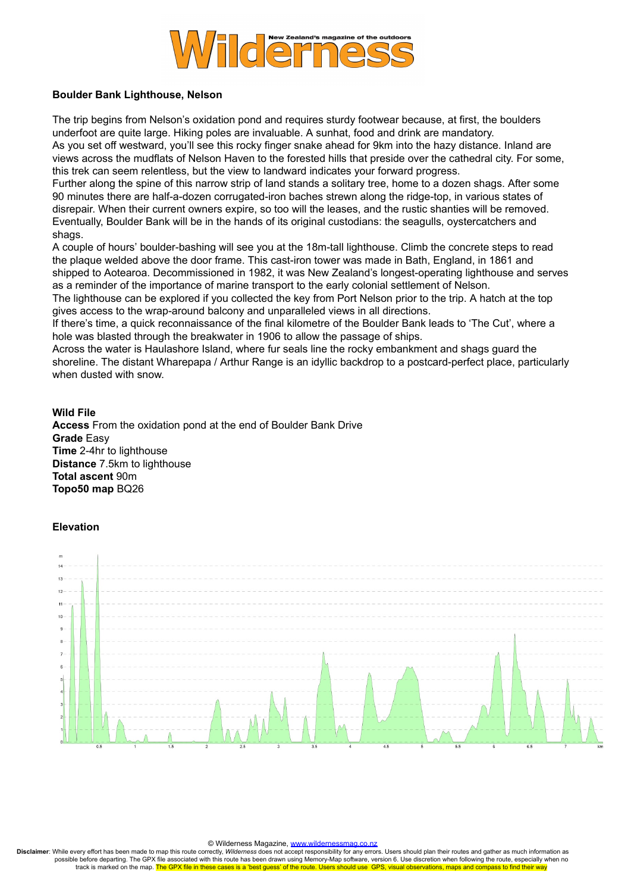

## **Boulder Bank Lighthouse, Nelson**

The trip begins from Nelson's oxidation pond and requires sturdy footwear because, at first, the boulders underfoot are quite large. Hiking poles are invaluable. A sunhat, food and drink are mandatory. As you set off westward, you'll see this rocky finger snake ahead for 9km into the hazy distance. Inland are views across the mudflats of Nelson Haven to the forested hills that preside over the cathedral city. For some, this trek can seem relentless, but the view to landward indicates your forward progress.

Further along the spine of this narrow strip of land stands a solitary tree, home to a dozen shags. After some 90 minutes there are half-a-dozen corrugated-iron baches strewn along the ridge-top, in various states of disrepair. When their current owners expire, so too will the leases, and the rustic shanties will be removed. Eventually, Boulder Bank will be in the hands of its original custodians: the seagulls, oystercatchers and shags.

A couple of hours' boulder-bashing will see you at the 18m-tall lighthouse. Climb the concrete steps to read the plaque welded above the door frame. This cast-iron tower was made in Bath, England, in 1861 and shipped to Aotearoa. Decommissioned in 1982, it was New Zealand's longest-operating lighthouse and serves as a reminder of the importance of marine transport to the early colonial settlement of Nelson.

The lighthouse can be explored if you collected the key from Port Nelson prior to the trip. A hatch at the top gives access to the wrap-around balcony and unparalleled views in all directions.

If there's time, a quick reconnaissance of the final kilometre of the Boulder Bank leads to 'The Cut', where a hole was blasted through the breakwater in 1906 to allow the passage of ships.

Across the water is Haulashore Island, where fur seals line the rocky embankment and shags guard the shoreline. The distant Wharepapa / Arthur Range is an idyllic backdrop to a postcard-perfect place, particularly when dusted with snow.

### **Wild File**

**Access** From the oxidation pond at the end of Boulder Bank Drive **Grade** Easy **Time** 2-4hr to lighthouse **Distance** 7.5km to lighthouse **Total ascent** 90m **Topo50 map** BQ26

#### **Elevation**



#### © Wilderness Magazine, [www.wildernessmag.co.nz](http://www.wildernessmag.co.nz/)

**Disclaimer**: While every effort has been made to map this route correctly, *Wilderness* does not accept responsibility for any errors. Users should plan their routes and gather as much information as possible before departing. The GPX file associated with this route has been drawn using Memory-Map software, version 6. Use discretion when following the route, especially when no track is marked on the map. The GPX file in these cases is a 'best quess' of the route. Users should use GPS, visual observations, maps and compass to find their way